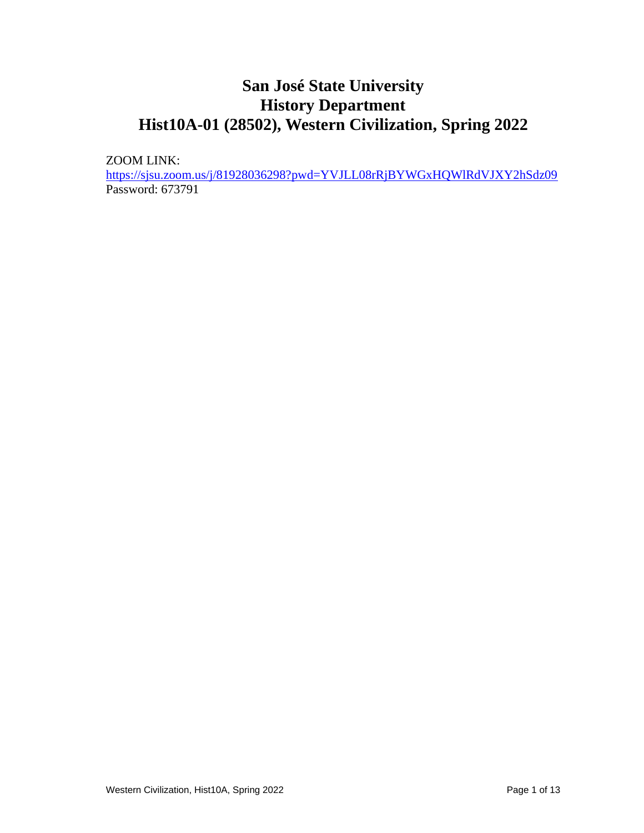# **San José State University History Department Hist10A-01 (28502), Western Civilization, Spring 2022**

ZOOM LINK:

<https://sjsu.zoom.us/j/81928036298?pwd=YVJLL08rRjBYWGxHQWlRdVJXY2hSdz09> Password: 673791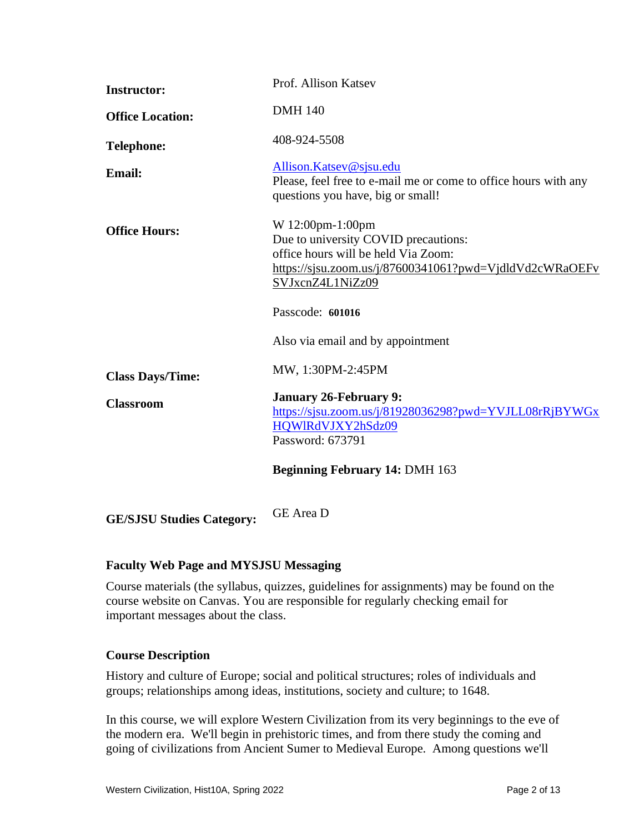| <b>Instructor:</b>      | Prof. Allison Katsev                                                                                                                                                           |
|-------------------------|--------------------------------------------------------------------------------------------------------------------------------------------------------------------------------|
| <b>Office Location:</b> | <b>DMH 140</b>                                                                                                                                                                 |
| <b>Telephone:</b>       | 408-924-5508                                                                                                                                                                   |
| <b>Email:</b>           | Allison.Katsev@sjsu.edu<br>Please, feel free to e-mail me or come to office hours with any<br>questions you have, big or small!                                                |
| <b>Office Hours:</b>    | W 12:00pm-1:00pm<br>Due to university COVID precautions:<br>office hours will be held Via Zoom:<br>https://sjsu.zoom.us/j/87600341061?pwd=VjdldVd2cWRaOEFv<br>SVJxcnZ4L1NiZz09 |
|                         | Passcode: 601016                                                                                                                                                               |
|                         | Also via email and by appointment                                                                                                                                              |
| <b>Class Days/Time:</b> | MW, 1:30PM-2:45PM                                                                                                                                                              |
| <b>Classroom</b>        | <b>January 26-February 9:</b><br>https://sjsu.zoom.us/j/81928036298?pwd=YVJLL08rRjBYWGx<br>HQWIRdVJXY2hSdz09<br>Password: 673791                                               |
|                         | <b>Beginning February 14: DMH 163</b>                                                                                                                                          |
|                         | $\sim$ $\sim$ $\sim$                                                                                                                                                           |

**GE/SJSU Studies Category:** GE Area <sup>D</sup>

# **Faculty Web Page and MYSJSU Messaging**

Course materials (the syllabus, quizzes, guidelines for assignments) may be found on the course website on Canvas. You are responsible for regularly checking email for important messages about the class.

# **Course Description**

History and culture of Europe; social and political structures; roles of individuals and groups; relationships among ideas, institutions, society and culture; to 1648.

In this course, we will explore Western Civilization from its very beginnings to the eve of the modern era. We'll begin in prehistoric times, and from there study the coming and going of civilizations from Ancient Sumer to Medieval Europe. Among questions we'll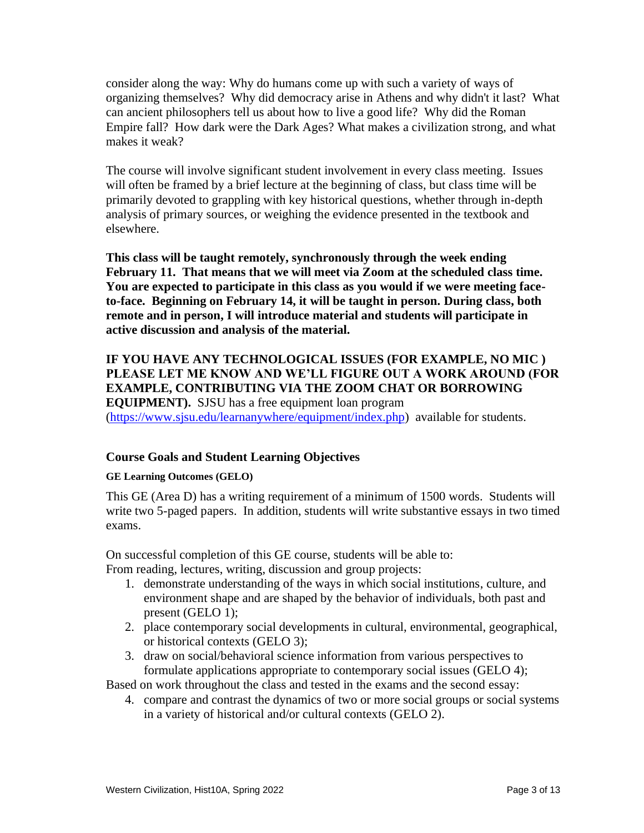consider along the way: Why do humans come up with such a variety of ways of organizing themselves? Why did democracy arise in Athens and why didn't it last? What can ancient philosophers tell us about how to live a good life? Why did the Roman Empire fall? How dark were the Dark Ages? What makes a civilization strong, and what makes it weak?

The course will involve significant student involvement in every class meeting. Issues will often be framed by a brief lecture at the beginning of class, but class time will be primarily devoted to grappling with key historical questions, whether through in-depth analysis of primary sources, or weighing the evidence presented in the textbook and elsewhere.

**This class will be taught remotely, synchronously through the week ending February 11. That means that we will meet via Zoom at the scheduled class time. You are expected to participate in this class as you would if we were meeting faceto-face. Beginning on February 14, it will be taught in person. During class, both remote and in person, I will introduce material and students will participate in active discussion and analysis of the material.**

# **IF YOU HAVE ANY TECHNOLOGICAL ISSUES (FOR EXAMPLE, NO MIC ) PLEASE LET ME KNOW AND WE'LL FIGURE OUT A WORK AROUND (FOR EXAMPLE, CONTRIBUTING VIA THE ZOOM CHAT OR BORROWING EQUIPMENT).** SJSU has a free equipment loan program [\(https://www.sjsu.edu/learnanywhere/equipment/index.php\)](https://www.sjsu.edu/learnanywhere/equipment/index.php) available for students.

# **Course Goals and Student Learning Objectives**

#### **GE Learning Outcomes (GELO)**

This GE (Area D) has a writing requirement of a minimum of 1500 words. Students will write two 5-paged papers. In addition, students will write substantive essays in two timed exams.

On successful completion of this GE course, students will be able to: From reading, lectures, writing, discussion and group projects:

1. demonstrate understanding of the ways in which social institutions, culture, and

- environment shape and are shaped by the behavior of individuals, both past and present (GELO 1);
- 2. place contemporary social developments in cultural, environmental, geographical, or historical contexts (GELO 3);
- 3. draw on social/behavioral science information from various perspectives to formulate applications appropriate to contemporary social issues (GELO 4);

Based on work throughout the class and tested in the exams and the second essay:

4. compare and contrast the dynamics of two or more social groups or social systems in a variety of historical and/or cultural contexts (GELO 2).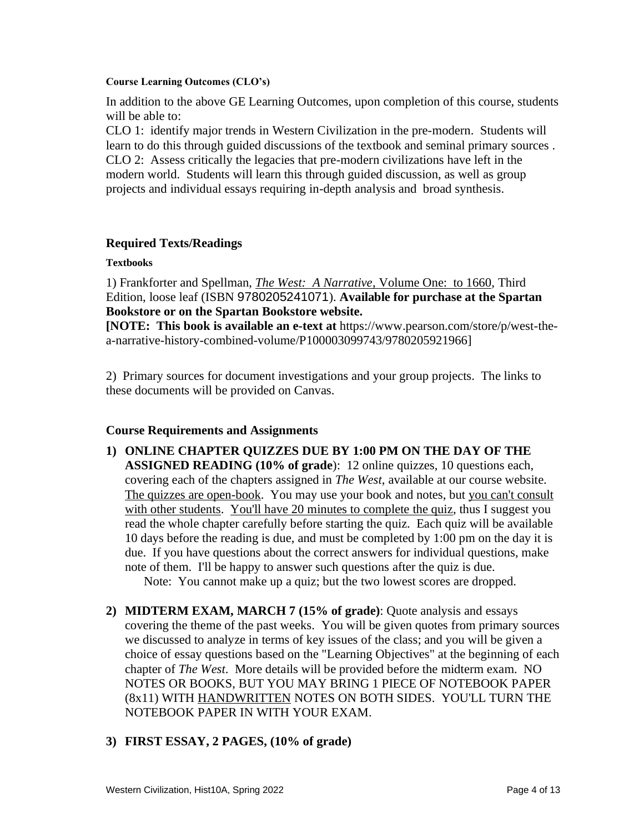#### **Course Learning Outcomes (CLO's)**

In addition to the above GE Learning Outcomes, upon completion of this course, students will be able to:

CLO 1: identify major trends in Western Civilization in the pre-modern. Students will learn to do this through guided discussions of the textbook and seminal primary sources . CLO 2: Assess critically the legacies that pre-modern civilizations have left in the modern world. Students will learn this through guided discussion, as well as group projects and individual essays requiring in-depth analysis and broad synthesis.

## **Required Texts/Readings**

### **Textbooks**

1) Frankforter and Spellman, *The West: A Narrative*, Volume One: to 1660, Third Edition, loose leaf (ISBN 9780205241071). **Available for purchase at the Spartan Bookstore or on the Spartan Bookstore website.**

**[NOTE: This book is available an e-text at** https://www.pearson.com/store/p/west-thea-narrative-history-combined-volume/P100003099743/9780205921966]

2) Primary sources for document investigations and your group projects. The links to these documents will be provided on Canvas.

## **Course Requirements and Assignments**

**1) ONLINE CHAPTER QUIZZES DUE BY 1:00 PM ON THE DAY OF THE ASSIGNED READING (10% of grade**): 12 online quizzes, 10 questions each, covering each of the chapters assigned in *The West*, available at our course website. The quizzes are open-book. You may use your book and notes, but you can't consult with other students. You'll have 20 minutes to complete the quiz, thus I suggest you read the whole chapter carefully before starting the quiz. Each quiz will be available 10 days before the reading is due, and must be completed by 1:00 pm on the day it is due. If you have questions about the correct answers for individual questions, make note of them. I'll be happy to answer such questions after the quiz is due.

Note: You cannot make up a quiz; but the two lowest scores are dropped.

**2) MIDTERM EXAM, MARCH 7 (15% of grade)**: Quote analysis and essays covering the theme of the past weeks. You will be given quotes from primary sources we discussed to analyze in terms of key issues of the class; and you will be given a choice of essay questions based on the "Learning Objectives" at the beginning of each chapter of *The West*. More details will be provided before the midterm exam. NO NOTES OR BOOKS, BUT YOU MAY BRING 1 PIECE OF NOTEBOOK PAPER (8x11) WITH HANDWRITTEN NOTES ON BOTH SIDES. YOU'LL TURN THE NOTEBOOK PAPER IN WITH YOUR EXAM.

# **3) FIRST ESSAY, 2 PAGES, (10% of grade)**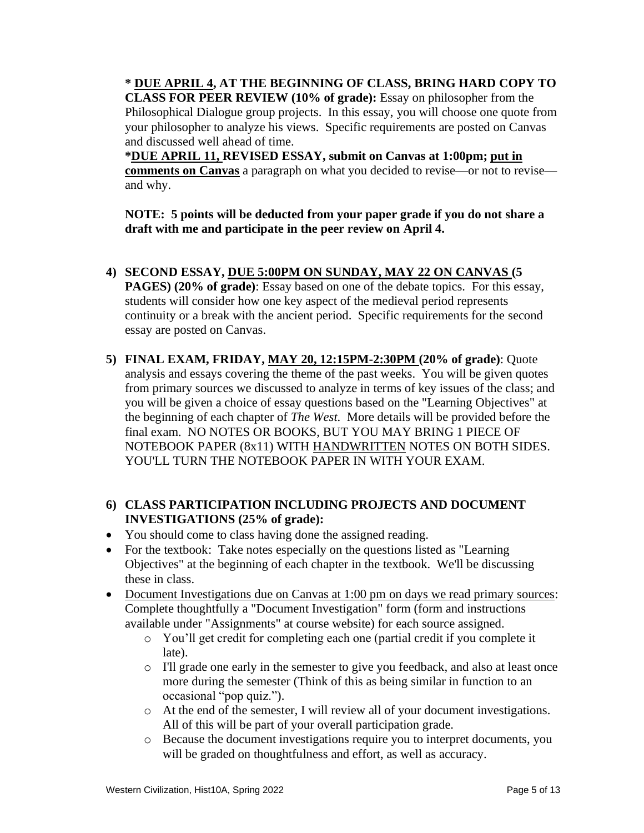**\* DUE APRIL 4, AT THE BEGINNING OF CLASS, BRING HARD COPY TO CLASS FOR PEER REVIEW (10% of grade):** Essay on philosopher from the Philosophical Dialogue group projects. In this essay, you will choose one quote from your philosopher to analyze his views. Specific requirements are posted on Canvas and discussed well ahead of time.

**\*DUE APRIL 11, REVISED ESSAY, submit on Canvas at 1:00pm; put in comments on Canvas** a paragraph on what you decided to revise—or not to revise and why.

**NOTE: 5 points will be deducted from your paper grade if you do not share a draft with me and participate in the peer review on April 4.**

- **4) SECOND ESSAY, DUE 5:00PM ON SUNDAY, MAY 22 ON CANVAS (5 PAGES) (20% of grade)**: Essay based on one of the debate topics. For this essay, students will consider how one key aspect of the medieval period represents continuity or a break with the ancient period. Specific requirements for the second essay are posted on Canvas.
- **5) FINAL EXAM, FRIDAY, MAY 20, 12:15PM-2:30PM (20% of grade)**: Quote analysis and essays covering the theme of the past weeks. You will be given quotes from primary sources we discussed to analyze in terms of key issues of the class; and you will be given a choice of essay questions based on the "Learning Objectives" at the beginning of each chapter of *The West*. More details will be provided before the final exam. NO NOTES OR BOOKS, BUT YOU MAY BRING 1 PIECE OF NOTEBOOK PAPER (8x11) WITH HANDWRITTEN NOTES ON BOTH SIDES. YOU'LL TURN THE NOTEBOOK PAPER IN WITH YOUR EXAM.

# **6) CLASS PARTICIPATION INCLUDING PROJECTS AND DOCUMENT INVESTIGATIONS (25% of grade):**

- You should come to class having done the assigned reading.
- For the textbook: Take notes especially on the questions listed as "Learning" Objectives" at the beginning of each chapter in the textbook. We'll be discussing these in class.
- Document Investigations due on Canvas at 1:00 pm on days we read primary sources: Complete thoughtfully a "Document Investigation" form (form and instructions available under "Assignments" at course website) for each source assigned.
	- o You'll get credit for completing each one (partial credit if you complete it late).
	- o I'll grade one early in the semester to give you feedback, and also at least once more during the semester (Think of this as being similar in function to an occasional "pop quiz.").
	- o At the end of the semester, I will review all of your document investigations. All of this will be part of your overall participation grade.
	- o Because the document investigations require you to interpret documents, you will be graded on thoughtfulness and effort, as well as accuracy.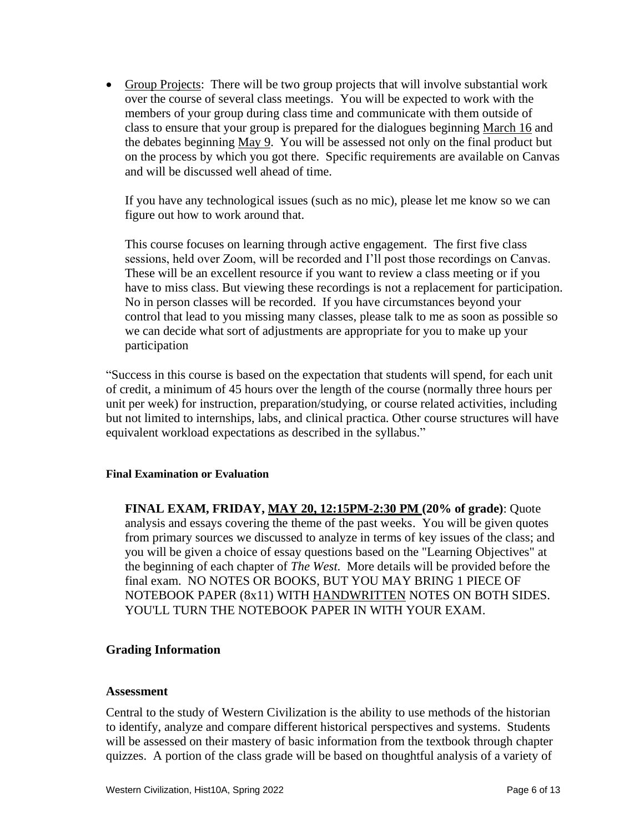• Group Projects: There will be two group projects that will involve substantial work over the course of several class meetings. You will be expected to work with the members of your group during class time and communicate with them outside of class to ensure that your group is prepared for the dialogues beginning March 16 and the debates beginning May 9. You will be assessed not only on the final product but on the process by which you got there. Specific requirements are available on Canvas and will be discussed well ahead of time.

If you have any technological issues (such as no mic), please let me know so we can figure out how to work around that.

This course focuses on learning through active engagement. The first five class sessions, held over Zoom, will be recorded and I'll post those recordings on Canvas. These will be an excellent resource if you want to review a class meeting or if you have to miss class. But viewing these recordings is not a replacement for participation. No in person classes will be recorded. If you have circumstances beyond your control that lead to you missing many classes, please talk to me as soon as possible so we can decide what sort of adjustments are appropriate for you to make up your participation

"Success in this course is based on the expectation that students will spend, for each unit of credit, a minimum of 45 hours over the length of the course (normally three hours per unit per week) for instruction, preparation/studying, or course related activities, including but not limited to internships, labs, and clinical practica. Other course structures will have equivalent workload expectations as described in the syllabus."

## **Final Examination or Evaluation**

**FINAL EXAM, FRIDAY, MAY 20, 12:15PM-2:30 PM (20% of grade)**: Quote analysis and essays covering the theme of the past weeks. You will be given quotes from primary sources we discussed to analyze in terms of key issues of the class; and you will be given a choice of essay questions based on the "Learning Objectives" at the beginning of each chapter of *The West*. More details will be provided before the final exam. NO NOTES OR BOOKS, BUT YOU MAY BRING 1 PIECE OF NOTEBOOK PAPER (8x11) WITH HANDWRITTEN NOTES ON BOTH SIDES. YOU'LL TURN THE NOTEBOOK PAPER IN WITH YOUR EXAM.

## **Grading Information**

#### **Assessment**

Central to the study of Western Civilization is the ability to use methods of the historian to identify, analyze and compare different historical perspectives and systems. Students will be assessed on their mastery of basic information from the textbook through chapter quizzes. A portion of the class grade will be based on thoughtful analysis of a variety of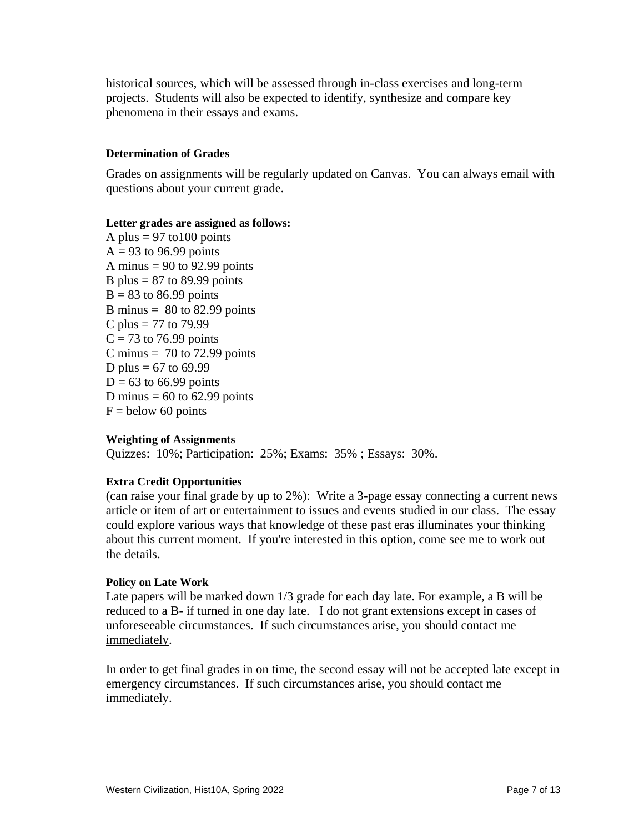historical sources, which will be assessed through in-class exercises and long-term projects. Students will also be expected to identify, synthesize and compare key phenomena in their essays and exams.

### **Determination of Grades**

Grades on assignments will be regularly updated on Canvas. You can always email with questions about your current grade.

#### **Letter grades are assigned as follows:**

A plus  $= 97$  to 100 points  $A = 93$  to 96.99 points A minus  $= 90$  to 92.99 points B plus  $= 87$  to 89.99 points  $B = 83$  to 86.99 points B minus  $= 80$  to 82.99 points C plus = 77 to 79.99  $C = 73$  to 76.99 points C minus  $= 70$  to 72.99 points D plus =  $67$  to  $69.99$  $D = 63$  to 66.99 points D minus  $= 60$  to 62.99 points  $F =$  below 60 points

#### **Weighting of Assignments**

Quizzes: 10%; Participation: 25%; Exams: 35% ; Essays: 30%.

## **Extra Credit Opportunities**

(can raise your final grade by up to 2%): Write a 3-page essay connecting a current news article or item of art or entertainment to issues and events studied in our class. The essay could explore various ways that knowledge of these past eras illuminates your thinking about this current moment. If you're interested in this option, come see me to work out the details.

#### **Policy on Late Work**

Late papers will be marked down 1/3 grade for each day late. For example, a B will be reduced to a B- if turned in one day late. I do not grant extensions except in cases of unforeseeable circumstances. If such circumstances arise, you should contact me immediately.

In order to get final grades in on time, the second essay will not be accepted late except in emergency circumstances. If such circumstances arise, you should contact me immediately.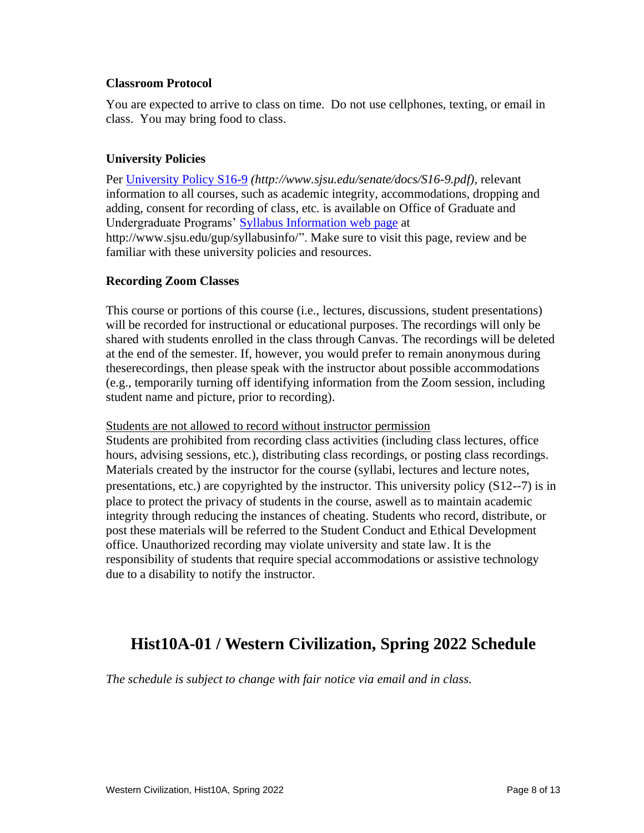### **Classroom Protocol**

You are expected to arrive to class on time. Do not use cellphones, texting, or email in class. You may bring food to class.

## **University Policies**

Per [University Policy S16-9](http://www.sjsu.edu/senate/docs/S16-9.pdf) *(http://www.sjsu.edu/senate/docs/S16-9.pdf)*, relevant information to all courses, such as academic integrity, accommodations, dropping and adding, consent for recording of class, etc. is available on Office of Graduate and Undergraduate Programs' [Syllabus Information](http://www.sjsu.edu/gup/syllabusinfo/) web page at http://www.sjsu.edu/gup/syllabusinfo/". Make sure to visit this page, review and be familiar with these university policies and resources.

## **Recording Zoom Classes**

This course or portions of this course (i.e., lectures, discussions, student presentations) will be recorded for instructional or educational purposes. The recordings will only be shared with students enrolled in the class through Canvas. The recordings will be deleted at the end of the semester. If, however, you would prefer to remain anonymous during theserecordings, then please speak with the instructor about possible accommodations (e.g., temporarily turning off identifying information from the Zoom session, including student name and picture, prior to recording).

#### Students are not allowed to record without instructor permission

Students are prohibited from recording class activities (including class lectures, office hours, advising sessions, etc.), distributing class recordings, or posting class recordings. Materials created by the instructor for the course (syllabi, lectures and lecture notes, presentations, etc.) are copyrighted by the instructor. This university policy (S12-‐7) is in place to protect the privacy of students in the course, aswell as to maintain academic integrity through reducing the instances of cheating. Students who record, distribute, or post these materials will be referred to the Student Conduct and Ethical Development office. Unauthorized recording may violate university and state law. It is the responsibility of students that require special accommodations or assistive technology due to a disability to notify the instructor.

# **Hist10A-01 / Western Civilization, Spring 2022 Schedule**

*The schedule is subject to change with fair notice via email and in class.*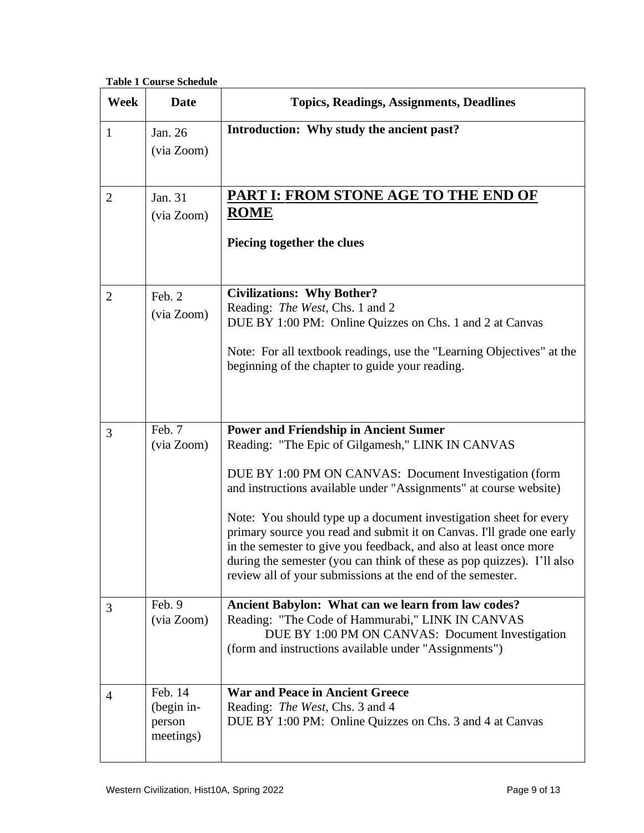**Table 1 Course Schedule**

| <b>Week</b>    | <b>Date</b>                                  | <b>Topics, Readings, Assignments, Deadlines</b>                                                                                                                                                                                                                                                                                                                                                                                                                                                                                                                                            |
|----------------|----------------------------------------------|--------------------------------------------------------------------------------------------------------------------------------------------------------------------------------------------------------------------------------------------------------------------------------------------------------------------------------------------------------------------------------------------------------------------------------------------------------------------------------------------------------------------------------------------------------------------------------------------|
| $\mathbf{1}$   | Jan. 26<br>(via Zoom)                        | Introduction: Why study the ancient past?                                                                                                                                                                                                                                                                                                                                                                                                                                                                                                                                                  |
| $\overline{2}$ | Jan. 31<br>(via Zoom)                        | PART I: FROM STONE AGE TO THE END OF<br><b>ROME</b><br>Piecing together the clues                                                                                                                                                                                                                                                                                                                                                                                                                                                                                                          |
| $\overline{2}$ | Feb. 2<br>(via Zoom)                         | <b>Civilizations: Why Bother?</b><br>Reading: The West, Chs. 1 and 2<br>DUE BY 1:00 PM: Online Quizzes on Chs. 1 and 2 at Canvas<br>Note: For all textbook readings, use the "Learning Objectives" at the<br>beginning of the chapter to guide your reading.                                                                                                                                                                                                                                                                                                                               |
| 3              | Feb. 7<br>(via Zoom)                         | <b>Power and Friendship in Ancient Sumer</b><br>Reading: "The Epic of Gilgamesh," LINK IN CANVAS<br>DUE BY 1:00 PM ON CANVAS: Document Investigation (form<br>and instructions available under "Assignments" at course website)<br>Note: You should type up a document investigation sheet for every<br>primary source you read and submit it on Canvas. I'll grade one early<br>in the semester to give you feedback, and also at least once more<br>during the semester (you can think of these as pop quizzes). I'll also<br>review all of your submissions at the end of the semester. |
| 3              | Feb. 9<br>(via Zoom)                         | Ancient Babylon: What can we learn from law codes?<br>Reading: "The Code of Hammurabi," LINK IN CANVAS<br>DUE BY 1:00 PM ON CANVAS: Document Investigation<br>(form and instructions available under "Assignments")                                                                                                                                                                                                                                                                                                                                                                        |
| $\overline{4}$ | Feb. 14<br>(begin in-<br>person<br>meetings) | <b>War and Peace in Ancient Greece</b><br>Reading: The West, Chs. 3 and 4<br>DUE BY 1:00 PM: Online Quizzes on Chs. 3 and 4 at Canvas                                                                                                                                                                                                                                                                                                                                                                                                                                                      |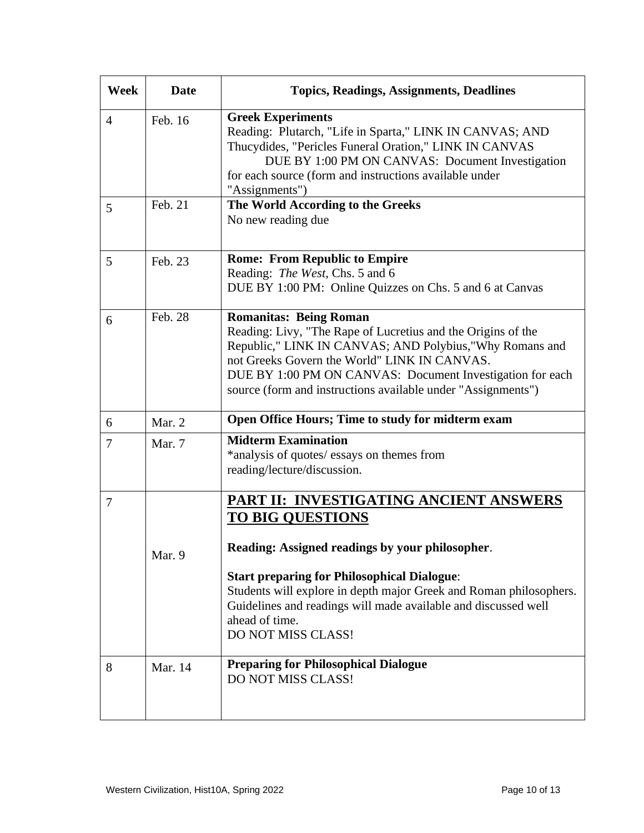| Week           | <b>Date</b> | <b>Topics, Readings, Assignments, Deadlines</b>                                                                                                                                                                                                                                                                                                            |
|----------------|-------------|------------------------------------------------------------------------------------------------------------------------------------------------------------------------------------------------------------------------------------------------------------------------------------------------------------------------------------------------------------|
| $\overline{4}$ | Feb. 16     | <b>Greek Experiments</b><br>Reading: Plutarch, "Life in Sparta," LINK IN CANVAS; AND<br>Thucydides, "Pericles Funeral Oration," LINK IN CANVAS<br>DUE BY 1:00 PM ON CANVAS: Document Investigation<br>for each source (form and instructions available under<br>"Assignments")                                                                             |
| 5              | Feb. 21     | The World According to the Greeks<br>No new reading due                                                                                                                                                                                                                                                                                                    |
| 5              | Feb. 23     | <b>Rome: From Republic to Empire</b><br>Reading: The West, Chs. 5 and 6<br>DUE BY 1:00 PM: Online Quizzes on Chs. 5 and 6 at Canvas                                                                                                                                                                                                                        |
| 6              | Feb. 28     | <b>Romanitas: Being Roman</b><br>Reading: Livy, "The Rape of Lucretius and the Origins of the<br>Republic," LINK IN CANVAS; AND Polybius,"Why Romans and<br>not Greeks Govern the World" LINK IN CANVAS.<br>DUE BY 1:00 PM ON CANVAS: Document Investigation for each<br>source (form and instructions available under "Assignments")                      |
| 6              | Mar. 2      | Open Office Hours; Time to study for midterm exam                                                                                                                                                                                                                                                                                                          |
| $\tau$         | Mar. 7      | <b>Midterm Examination</b><br>*analysis of quotes/ essays on themes from<br>reading/lecture/discussion.                                                                                                                                                                                                                                                    |
| $\overline{7}$ | Mar. 9      | PART II: INVESTIGATING ANCIENT ANSWERS<br><b>TO BIG QUESTIONS</b><br>Reading: Assigned readings by your philosopher.<br><b>Start preparing for Philosophical Dialogue:</b><br>Students will explore in depth major Greek and Roman philosophers.<br>Guidelines and readings will made available and discussed well<br>ahead of time.<br>DO NOT MISS CLASS! |
| 8              | Mar. 14     | <b>Preparing for Philosophical Dialogue</b><br>DO NOT MISS CLASS!                                                                                                                                                                                                                                                                                          |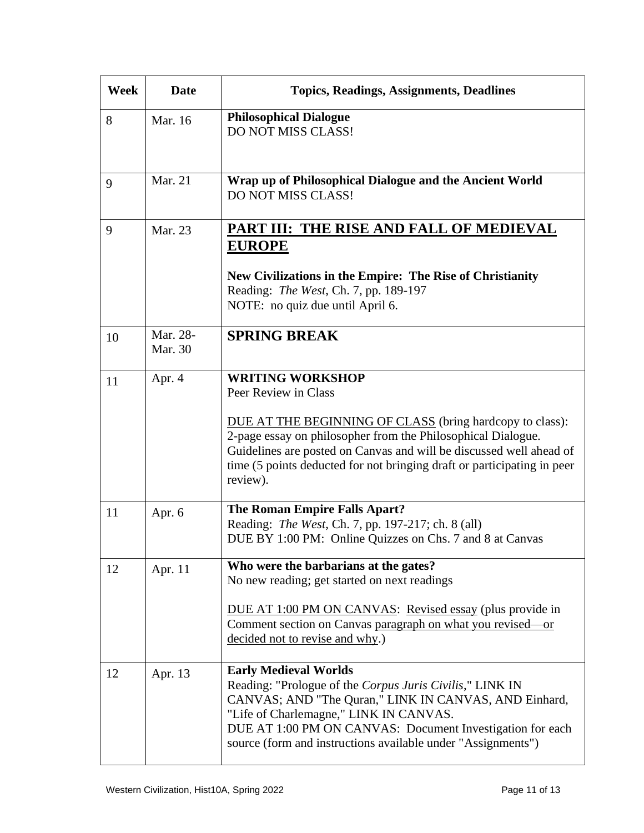| <b>Week</b> | <b>Date</b>         | <b>Topics, Readings, Assignments, Deadlines</b>                                                                                                                                                                                                                                                                                           |
|-------------|---------------------|-------------------------------------------------------------------------------------------------------------------------------------------------------------------------------------------------------------------------------------------------------------------------------------------------------------------------------------------|
| 8           | Mar. 16             | <b>Philosophical Dialogue</b><br>DO NOT MISS CLASS!                                                                                                                                                                                                                                                                                       |
| 9           | Mar. 21             | Wrap up of Philosophical Dialogue and the Ancient World<br>DO NOT MISS CLASS!                                                                                                                                                                                                                                                             |
| 9           | Mar. 23             | PART III: THE RISE AND FALL OF MEDIEVAL<br><b>EUROPE</b><br>New Civilizations in the Empire: The Rise of Christianity<br>Reading: The West, Ch. 7, pp. 189-197<br>NOTE: no quiz due until April 6.                                                                                                                                        |
| 10          | Mar. 28-<br>Mar. 30 | <b>SPRING BREAK</b>                                                                                                                                                                                                                                                                                                                       |
| 11          | Apr. 4              | <b>WRITING WORKSHOP</b><br>Peer Review in Class<br>DUE AT THE BEGINNING OF CLASS (bring hardcopy to class):<br>2-page essay on philosopher from the Philosophical Dialogue.<br>Guidelines are posted on Canvas and will be discussed well ahead of<br>time (5 points deducted for not bringing draft or participating in peer<br>review). |
| 11          | Apr. 6              | The Roman Empire Falls Apart?<br>Reading: The West, Ch. 7, pp. 197-217; ch. 8 (all)<br>DUE BY 1:00 PM: Online Quizzes on Chs. 7 and 8 at Canvas                                                                                                                                                                                           |
| 12          | Apr. 11             | Who were the barbarians at the gates?<br>No new reading; get started on next readings<br>DUE AT 1:00 PM ON CANVAS: Revised essay (plus provide in<br>Comment section on Canvas paragraph on what you revised—or<br>decided not to revise and why.)                                                                                        |
| 12          | Apr. 13             | <b>Early Medieval Worlds</b><br>Reading: "Prologue of the Corpus Juris Civilis," LINK IN<br>CANVAS; AND "The Quran," LINK IN CANVAS, AND Einhard,<br>"Life of Charlemagne," LINK IN CANVAS.<br>DUE AT 1:00 PM ON CANVAS: Document Investigation for each<br>source (form and instructions available under "Assignments")                  |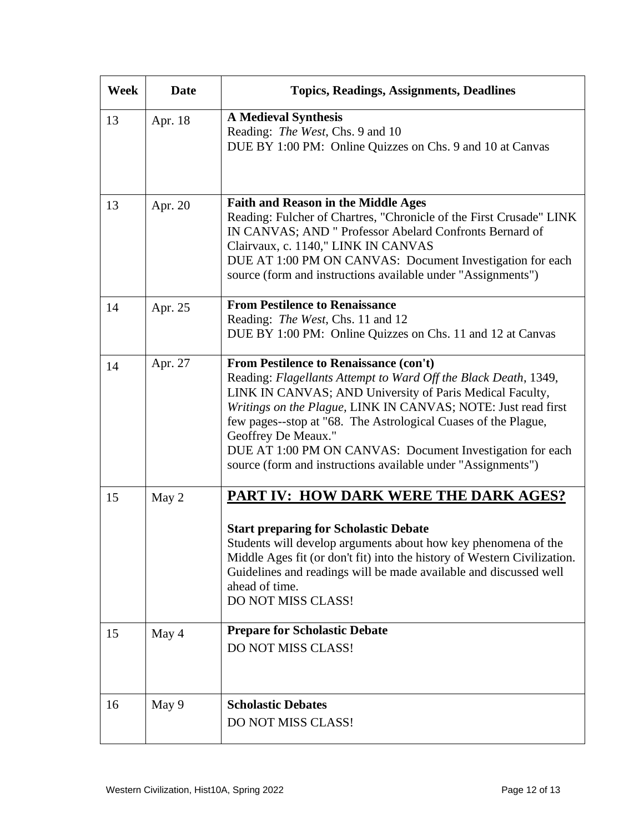| Week | <b>Date</b> | <b>Topics, Readings, Assignments, Deadlines</b>                                                                                                                                                                                                                                                                                                                                                                                                              |
|------|-------------|--------------------------------------------------------------------------------------------------------------------------------------------------------------------------------------------------------------------------------------------------------------------------------------------------------------------------------------------------------------------------------------------------------------------------------------------------------------|
| 13   | Apr. 18     | <b>A Medieval Synthesis</b><br>Reading: The West, Chs. 9 and 10<br>DUE BY 1:00 PM: Online Quizzes on Chs. 9 and 10 at Canvas                                                                                                                                                                                                                                                                                                                                 |
| 13   | Apr. 20     | <b>Faith and Reason in the Middle Ages</b><br>Reading: Fulcher of Chartres, "Chronicle of the First Crusade" LINK<br>IN CANVAS; AND " Professor Abelard Confronts Bernard of<br>Clairvaux, c. 1140," LINK IN CANVAS<br>DUE AT 1:00 PM ON CANVAS: Document Investigation for each<br>source (form and instructions available under "Assignments")                                                                                                             |
| 14   | Apr. 25     | <b>From Pestilence to Renaissance</b><br>Reading: The West, Chs. 11 and 12<br>DUE BY 1:00 PM: Online Quizzes on Chs. 11 and 12 at Canvas                                                                                                                                                                                                                                                                                                                     |
| 14   | Apr. 27     | From Pestilence to Renaissance (con't)<br>Reading: Flagellants Attempt to Ward Off the Black Death, 1349,<br>LINK IN CANVAS; AND University of Paris Medical Faculty,<br>Writings on the Plague, LINK IN CANVAS; NOTE: Just read first<br>few pages--stop at "68. The Astrological Cuases of the Plague,<br>Geoffrey De Meaux."<br>DUE AT 1:00 PM ON CANVAS: Document Investigation for each<br>source (form and instructions available under "Assignments") |
| 15   | May 2       | PART IV: HOW DARK WERE THE DARK AGES?<br><b>Start preparing for Scholastic Debate</b><br>Students will develop arguments about how key phenomena of the<br>Middle Ages fit (or don't fit) into the history of Western Civilization.<br>Guidelines and readings will be made available and discussed well<br>ahead of time.<br>DO NOT MISS CLASS!                                                                                                             |
| 15   | May 4       | <b>Prepare for Scholastic Debate</b><br>DO NOT MISS CLASS!                                                                                                                                                                                                                                                                                                                                                                                                   |
| 16   | May 9       | <b>Scholastic Debates</b><br>DO NOT MISS CLASS!                                                                                                                                                                                                                                                                                                                                                                                                              |